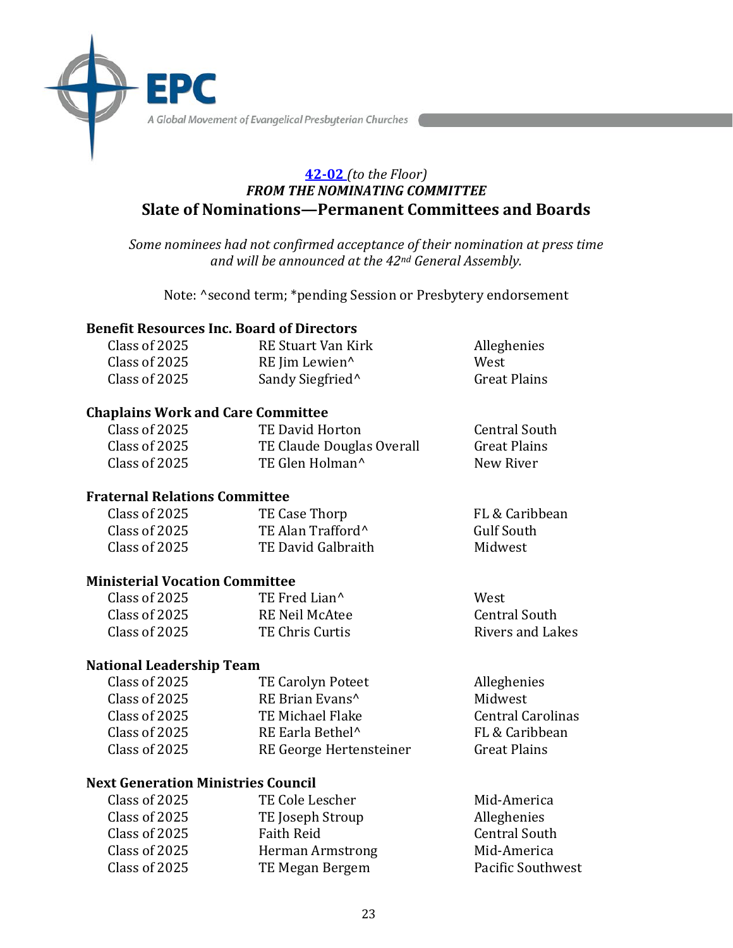A Global Movement of Evangelical Presbyterian Churches

## **42-02** *(to the Floor) FROM THE NOMINATING COMMITTEE* **Slate of Nominations—Permanent Committees and Boards**

*Some nominees had not confirmed acceptance of their nomination at press time and will be announced at the 42nd General Assembly.*

Note: ^second term; \*pending Session or Presbytery endorsement

#### **Benefit Resources Inc. Board of Directors**

| Class of 2025 | RE Stuart Van Kirk           | Alleghenies         |
|---------------|------------------------------|---------------------|
| Class of 2025 | RE Jim Lewien <sup>^</sup>   | West                |
| Class of 2025 | Sandy Siegfried <sup>^</sup> | <b>Great Plains</b> |

#### **Chaplains Work and Care Committee**

| Class of 2025 | TE David Horton             | <b>Central South</b> |
|---------------|-----------------------------|----------------------|
| Class of 2025 | TE Claude Douglas Overall   | <b>Great Plains</b>  |
| Class of 2025 | TE Glen Holman <sup>^</sup> | New River            |

#### **Fraternal Relations Committee**

EP

| Class of 2025 | TE Case Thorp                 | FL & Caribbean |
|---------------|-------------------------------|----------------|
| Class of 2025 | TE Alan Trafford <sup>^</sup> | Gulf South     |
| Class of 2025 | TE David Galbraith            | Midwest        |

### **Ministerial Vocation Committee**

| Class of 2025 | TE Fred Lian <sup>^</sup> | West                 |
|---------------|---------------------------|----------------------|
| Class of 2025 | RE Neil McAtee            | <b>Central South</b> |
| Class of 2025 | TE Chris Curtis           | Rivers and Lakes     |

### **National Leadership Team**

| Class of 2025 | <b>TE Carolyn Poteet</b>     | Alleghenies              |
|---------------|------------------------------|--------------------------|
| Class of 2025 | RE Brian Evans <sup>^</sup>  | Midwest                  |
| Class of 2025 | TE Michael Flake             | <b>Central Carolinas</b> |
| Class of 2025 | RE Earla Bethel <sup>^</sup> | FL & Caribbean           |
| Class of 2025 | RE George Hertensteiner      | <b>Great Plains</b>      |
|               |                              |                          |

#### **Next Generation Ministries Council**

| Class of 2025<br>TE Joseph Stroup<br>Alleghenies<br>Class of 2025<br><b>Faith Reid</b><br><b>Central South</b><br>Class of 2025<br>Mid-America<br><b>Herman Armstrong</b> | Class of 2025 | TE Cole Lescher | Mid-America       |
|---------------------------------------------------------------------------------------------------------------------------------------------------------------------------|---------------|-----------------|-------------------|
|                                                                                                                                                                           |               |                 |                   |
|                                                                                                                                                                           |               |                 |                   |
|                                                                                                                                                                           |               |                 |                   |
|                                                                                                                                                                           | Class of 2025 | TE Megan Bergem | Pacific Southwest |